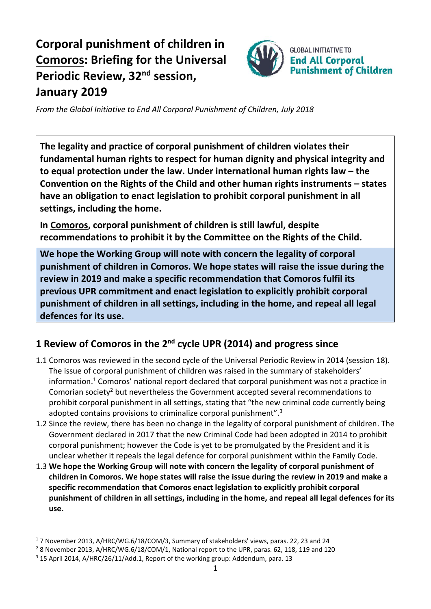# **Corporal punishment of children in Comoros: Briefing for the Universal Periodic Review, 32<sup>nd</sup> session, January 2019**



*From the Global Initiative to End All Corporal Punishment of Children, July 2018*

**The legality and practice of corporal punishment of children violates their fundamental human rights to respect for human dignity and physical integrity and to equal protection under the law. Under international human rights law – the Convention on the Rights of the Child and other human rights instruments – states have an obligation to enact legislation to prohibit corporal punishment in all settings, including the home.**

**In Comoros, corporal punishment of children is still lawful, despite recommendations to prohibit it by the Committee on the Rights of the Child.**

**We hope the Working Group will note with concern the legality of corporal punishment of children in Comoros. We hope states will raise the issue during the review in 2019 and make a specific recommendation that Comoros fulfil its previous UPR commitment and enact legislation to explicitly prohibit corporal punishment of children in all settings, including in the home, and repeal all legal defences for its use.**

## **1 Review of Comoros in the 2nd cycle UPR (2014) and progress since**

- 1.1 Comoros was reviewed in the second cycle of the Universal Periodic Review in 2014 (session 18). The issue of corporal punishment of children was raised in the summary of stakeholders' information. <sup>1</sup> Comoros' national report declared that corporal punishment was not a practice in Comorian society<sup>2</sup> but nevertheless the Government accepted several recommendations to prohibit corporal punishment in all settings, stating that "the new criminal code currently being adopted contains provisions to criminalize corporal punishment".<sup>3</sup>
- 1.2 Since the review, there has been no change in the legality of corporal punishment of children. The Government declared in 2017 that the new Criminal Code had been adopted in 2014 to prohibit corporal punishment; however the Code is yet to be promulgated by the President and it is unclear whether it repeals the legal defence for corporal punishment within the Family Code.
- 1.3 **We hope the Working Group will note with concern the legality of corporal punishment of children in Comoros. We hope states will raise the issue during the review in 2019 and make a specific recommendation that Comoros enact legislation to explicitly prohibit corporal punishment of children in all settings, including in the home, and repeal all legal defences for its use.**

 $\overline{a}$ 

<sup>1</sup> 7 November 2013, A/HRC/WG.6/18/COM/3, Summary of stakeholders' views, paras. 22, 23 and 24

<sup>&</sup>lt;sup>2</sup> 8 November 2013, A/HRC/WG.6/18/COM/1, National report to the UPR, paras. 62, 118, 119 and 120

<sup>&</sup>lt;sup>3</sup> 15 April 2014, A/HRC/26/11/Add.1, Report of the working group: Addendum, para. 13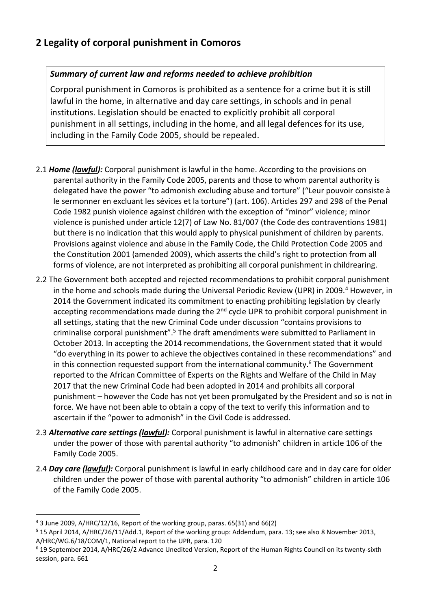### **2 Legality of corporal punishment in Comoros**

#### *Summary of current law and reforms needed to achieve prohibition*

Corporal punishment in Comoros is prohibited as a sentence for a crime but it is still lawful in the home, in alternative and day care settings, in schools and in penal institutions. Legislation should be enacted to explicitly prohibit all corporal punishment in all settings, including in the home, and all legal defences for its use, including in the Family Code 2005, should be repealed.

- 2.1 *Home (lawful):* Corporal punishment is lawful in the home. According to the provisions on parental authority in the Family Code 2005, parents and those to whom parental authority is delegated have the power "to admonish excluding abuse and torture" ("Leur pouvoir consiste à le sermonner en excluant les sévices et la torture") (art. 106). Articles 297 and 298 of the Penal Code 1982 punish violence against children with the exception of "minor" violence; minor violence is punished under article 12(7) of Law No. 81/007 (the Code des contraventions 1981) but there is no indication that this would apply to physical punishment of children by parents. Provisions against violence and abuse in the Family Code, the Child Protection Code 2005 and the Constitution 2001 (amended 2009), which asserts the child's right to protection from all forms of violence, are not interpreted as prohibiting all corporal punishment in childrearing.
- 2.2 The Government both accepted and rejected recommendations to prohibit corporal punishment in the home and schools made during the Universal Periodic Review (UPR) in 2009.<sup>4</sup> However, in 2014 the Government indicated its commitment to enacting prohibiting legislation by clearly accepting recommendations made during the  $2<sup>nd</sup>$  cycle UPR to prohibit corporal punishment in all settings, stating that the new Criminal Code under discussion "contains provisions to criminalise corporal punishment".<sup>5</sup> The draft amendments were submitted to Parliament in October 2013. In accepting the 2014 recommendations, the Government stated that it would "do everything in its power to achieve the objectives contained in these recommendations" and in this connection requested support from the international community. $6$  The Government reported to the African Committee of Experts on the Rights and Welfare of the Child in May 2017 that the new Criminal Code had been adopted in 2014 and prohibits all corporal punishment – however the Code has not yet been promulgated by the President and so is not in force. We have not been able to obtain a copy of the text to verify this information and to ascertain if the "power to admonish" in the Civil Code is addressed.
- 2.3 *Alternative care settings (lawful):* Corporal punishment is lawful in alternative care settings under the power of those with parental authority "to admonish" children in article 106 of the Family Code 2005.
- 2.4 *Day care (lawful):* Corporal punishment is lawful in early childhood care and in day care for older children under the power of those with parental authority "to admonish" children in article 106 of the Family Code 2005.

 $\overline{a}$ 

<sup>4</sup> 3 June 2009, A/HRC/12/16, Report of the working group, paras. 65(31) and 66(2)

<sup>5</sup> 15 April 2014, A/HRC/26/11/Add.1, Report of the working group: Addendum, para. 13; see also 8 November 2013, A/HRC/WG.6/18/COM/1, National report to the UPR, para. 120

<sup>6</sup> 19 September 2014, A/HRC/26/2 Advance Unedited Version, Report of the Human Rights Council on its twenty-sixth session, para. 661